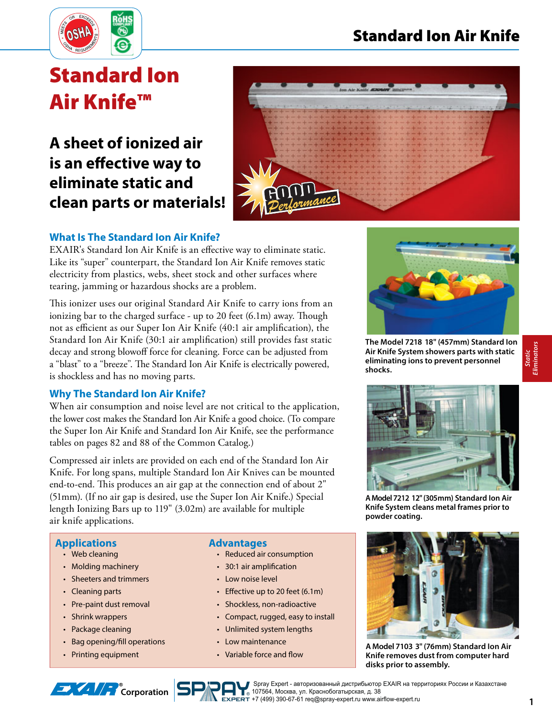

# **Standard Ion Air Knife™**

# **A sheet of ionized air is an effective way to eliminate static and clean parts or materials!**



# **What Is The Standard Ion Air Knife?**

EXAIR's Standard Ion Air Knife is an effective way to eliminate static. Like its "super" counterpart, the Standard Ion Air Knife removes static electricity from plastics, webs, sheet stock and other surfaces where tearing, jamming or hazardous shocks are a problem.

This ionizer uses our original Standard Air Knife to carry ions from an ionizing bar to the charged surface - up to 20 feet (6.1m) away. Though not as efficient as our Super Ion Air Knife (40:1 air amplification), the Standard Ion Air Knife (30:1 air amplification) still provides fast static decay and strong blowoff force for cleaning. Force can be adjusted from a "blast" to a "breeze". The Standard Ion Air Knife is electrically powered, is shockless and has no moving parts.

## **Why The Standard Ion Air Knife?**

When air consumption and noise level are not critical to the application, the lower cost makes the Standard Ion Air Knife a good choice. (To compare the Super Ion Air Knife and Standard Ion Air Knife, see the performance tables on pages 82 and 88 of the Common Catalog.)

Compressed air inlets are provided on each end of the Standard Ion Air Knife. For long spans, multiple Standard Ion Air Knives can be mounted end-to-end. This produces an air gap at the connection end of about 2" (51mm). (If no air gap is desired, use the Super Ion Air Knife.) Special length Ionizing Bars up to 119" (3.02m) are available for multiple air knife applications.

## **Applications**

- Web cleaning
- Molding machinery
- Sheeters and trimmers
- Cleaning parts
- Pre-paint dust removal
- Shrink wrappers
- Package cleaning

• Printing equipment

• Bag opening/fill operations

- **Advantages**
	- Reduced air consumption
	- 30:1 air amplification
	- Low noise level
	- $\cdot$  Effective up to 20 feet (6.1m)
	- Shockless, non-radioactive
	- Compact, rugged, easy to install
	- Unlimited system lengths
	- Low maintenance
	- Variable force and flow



**The Model 7218 18" (457mm) Standard Ion Air Knife System showers parts with static eliminating ions to prevent personnel shocks.**



**A Model 7212 12" (305mm) Standard Ion Air Knife System cleans metal frames prior to powder coating.**



**A Model 7103 3" (76mm) Standard Ion Air Knife removes dust from computer hard disks prior to assembly.**